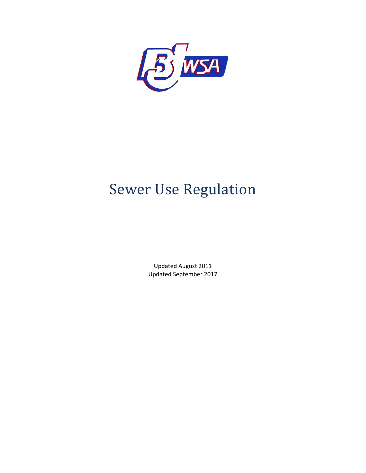

# **Sewer Use Regulation**

Updated August 2011 Updated September 2017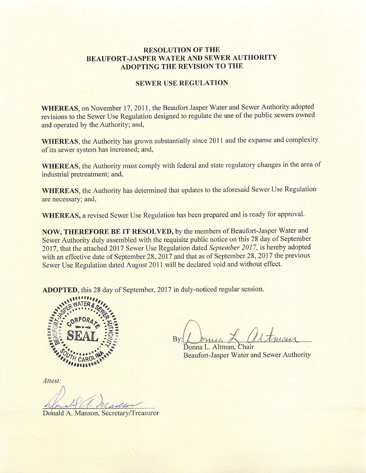#### **RESOLUTION OF THE BEAUFORT-JASPER WATER AND SEWER AUTHORITY ADOPTING THE REVISION TO THE**

#### **SEWER USE REGULATION**

WHEREAS, on November 17, 2011, the Beaufort Jasper Water and Sewer Authority adopted revisions to the Sewer Use Regulation designed to regulate the use of the public sewers owned and operated by the Authority; and,

WHEREAS, the Authority has grown substantially since 2011 and the expanse and complexity of its sewer system has increased; and,

WHEREAS, the Authority must comply with federal and state regulatory changes in the area of industrial pretreatment; and,

WHEREAS, the Authority has determined that updates to the aforesaid Sewer Use Regulation are necessary; and,

WHEREAS, a revised Sewer Use Regulation has been prepared and is ready for approval.

NOW, THEREFORE BE IT RESOLVED, by the members of Beaufort-Jasper Water and Sewer Authority duly assembled with the requisite public notice on this 28 day of September 2017, that the attached 2017 Sewer Use Regulation dated September 2017, is hereby adopted with an effective date of September 28, 2017 and that as of September 28, 2017 the previous Sewer Use Regulation dated August 2011 will be declared void and without effect.

ADOPTED, this 28 day of September, 2017 in duly-noticed regular session.



By:

Donna L. Altman. **Beaufort-Jasper Water and Sewer Authority** 

Attest:

Donald A. Manson, Secretary/Treasurer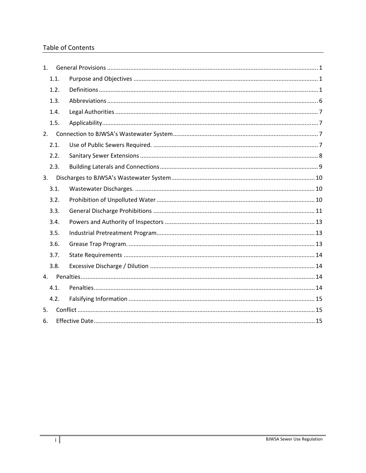#### **Table of Contents**

| 1.   |  |  |
|------|--|--|
| 1.1. |  |  |
| 1.2. |  |  |
| 1.3. |  |  |
| 1.4. |  |  |
| 1.5. |  |  |
| 2.   |  |  |
| 2.1. |  |  |
| 2.2. |  |  |
| 2.3. |  |  |
| 3.   |  |  |
| 3.1. |  |  |
| 3.2. |  |  |
| 3.3. |  |  |
| 3.4. |  |  |
| 3.5. |  |  |
| 3.6. |  |  |
| 3.7. |  |  |
| 3.8. |  |  |
| 4.   |  |  |
| 4.1. |  |  |
| 4.2. |  |  |
| 5.   |  |  |
| 6.   |  |  |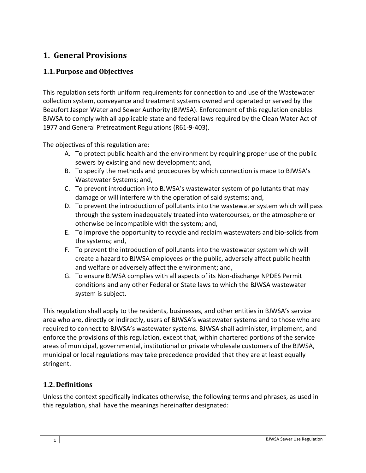# **1. General Provisions**

## **1.1.Purpose and Objectives**

This regulation sets forth uniform requirements for connection to and use of the Wastewater collection system, conveyance and treatment systems owned and operated or served by the Beaufort Jasper Water and Sewer Authority (BJWSA). Enforcement of this regulation enables BJWSA to comply with all applicable state and federal laws required by the Clean Water Act of 1977 and General Pretreatment Regulations (R61‐9‐403).

The objectives of this regulation are:

- A. To protect public health and the environment by requiring proper use of the public sewers by existing and new development; and,
- B. To specify the methods and procedures by which connection is made to BJWSA's Wastewater Systems; and,
- C. To prevent introduction into BJWSA's wastewater system of pollutants that may damage or will interfere with the operation of said systems; and,
- D. To prevent the introduction of pollutants into the wastewater system which will pass through the system inadequately treated into watercourses, or the atmosphere or otherwise be incompatible with the system; and,
- E. To improve the opportunity to recycle and reclaim wastewaters and bio‐solids from the systems; and,
- F. To prevent the introduction of pollutants into the wastewater system which will create a hazard to BJWSA employees or the public, adversely affect public health and welfare or adversely affect the environment; and,
- G. To ensure BJWSA complies with all aspects of its Non‐discharge NPDES Permit conditions and any other Federal or State laws to which the BJWSA wastewater system is subject.

This regulation shall apply to the residents, businesses, and other entities in BJWSA's service area who are, directly or indirectly, users of BJWSA's wastewater systems and to those who are required to connect to BJWSA's wastewater systems. BJWSA shall administer, implement, and enforce the provisions of this regulation, except that, within chartered portions of the service areas of municipal, governmental, institutional or private wholesale customers of the BJWSA, municipal or local regulations may take precedence provided that they are at least equally stringent.

## **1.2. Definitions**

Unless the context specifically indicates otherwise, the following terms and phrases, as used in this regulation, shall have the meanings hereinafter designated: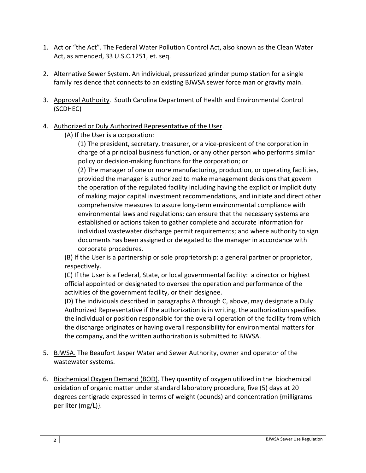- 1. Act or "the Act". The Federal Water Pollution Control Act, also known as the Clean Water Act, as amended, 33 U.S.C.1251, et. seq.
- 2. Alternative Sewer System. An individual, pressurized grinder pump station for a single family residence that connects to an existing BJWSA sewer force man or gravity main.
- 3. Approval Authority. South Carolina Department of Health and Environmental Control (SCDHEC)
- 4. Authorized or Duly Authorized Representative of the User.
	- (A) If the User is a corporation:

(1) The president, secretary, treasurer, or a vice‐president of the corporation in charge of a principal business function, or any other person who performs similar policy or decision‐making functions for the corporation; or

(2) The manager of one or more manufacturing, production, or operating facilities, provided the manager is authorized to make management decisions that govern the operation of the regulated facility including having the explicit or implicit duty of making major capital investment recommendations, and initiate and direct other comprehensive measures to assure long‐term environmental compliance with environmental laws and regulations; can ensure that the necessary systems are established or actions taken to gather complete and accurate information for individual wastewater discharge permit requirements; and where authority to sign documents has been assigned or delegated to the manager in accordance with corporate procedures.

(B) If the User is a partnership or sole proprietorship: a general partner or proprietor, respectively.

(C) If the User is a Federal, State, or local governmental facility: a director or highest official appointed or designated to oversee the operation and performance of the activities of the government facility, or their designee.

(D) The individuals described in paragraphs A through C, above, may designate a Duly Authorized Representative if the authorization is in writing, the authorization specifies the individual or position responsible for the overall operation of the facility from which the discharge originates or having overall responsibility for environmental matters for the company, and the written authorization is submitted to BJWSA.

- 5. BJWSA. The Beaufort Jasper Water and Sewer Authority, owner and operator of the wastewater systems.
- 6. Biochemical Oxygen Demand (BOD). They quantity of oxygen utilized in the biochemical oxidation of organic matter under standard laboratory procedure, five (5) days at 20 degrees centigrade expressed in terms of weight (pounds) and concentration {milligrams per liter (mg/L)}.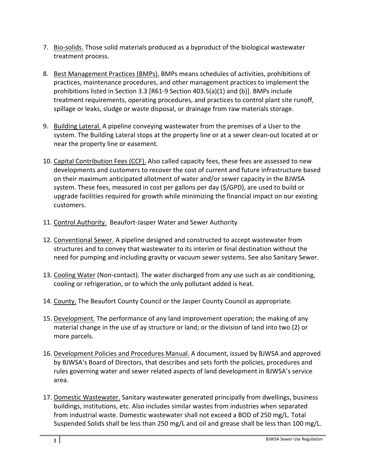- 7. Bio-solids. Those solid materials produced as a byproduct of the biological wastewater treatment process.
- 8. Best Management Practices (BMPs). BMPs means schedules of activities, prohibitions of practices, maintenance procedures, and other management practices to implement the prohibitions listed in Section 3.3 [R61‐9 Section 403.5(a)(1) and (b)]. BMPs include treatment requirements, operating procedures, and practices to control plant site runoff, spillage or leaks, sludge or waste disposal, or drainage from raw materials storage.
- 9. Building Lateral. A pipeline conveying wastewater from the premises of a User to the system. The Building Lateral stops at the property line or at a sewer clean‐out located at or near the property line or easement.
- 10. Capital Contribution Fees (CCF). Also called capacity fees, these fees are assessed to new developments and customers to recover the cost of current and future infrastructure based on their maximum anticipated allotment of water and/or sewer capacity in the BJWSA system. These fees, measured in cost per gallons per day (\$/GPD), are used to build or upgrade facilities required for growth while minimizing the financial impact on our existing customers.
- 11. Control Authority. Beaufort-Jasper Water and Sewer Authority
- 12. Conventional Sewer. A pipeline designed and constructed to accept wastewater from structures and to convey that wastewater to its interim or final destination without the need for pumping and including gravity or vacuum sewer systems. See also Sanitary Sewer.
- 13. Cooling Water (Non-contact). The water discharged from any use such as air conditioning, cooling or refrigeration, or to which the only pollutant added is heat.
- 14. County. The Beaufort County Council or the Jasper County Council as appropriate.
- 15. Development. The performance of any land improvement operation; the making of any material change in the use of ay structure or land; or the division of land into two (2) or more parcels.
- 16. Development Policies and Procedures Manual. A document, issued by BJWSA and approved by BJWSA's Board of Directors, that describes and sets forth the policies, procedures and rules governing water and sewer related aspects of land development in BJWSA's service area.
- 17. Domestic Wastewater. Sanitary wastewater generated principally from dwellings, business buildings, institutions, etc. Also includes similar wastes from industries when separated from industrial waste. Domestic wastewater shall not exceed a BOD of 250 mg/L. Total Suspended Solids shall be less than 250 mg/L and oil and grease shall be less than 100 mg/L.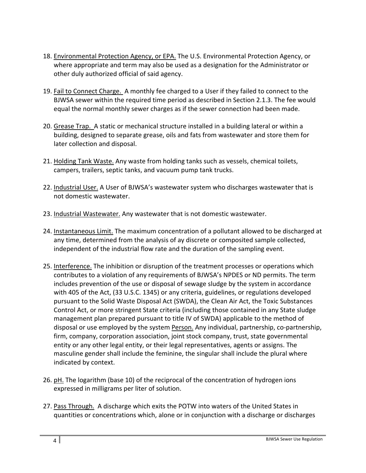- 18. Environmental Protection Agency, or EPA. The U.S. Environmental Protection Agency, or where appropriate and term may also be used as a designation for the Administrator or other duly authorized official of said agency.
- 19. Fail to Connect Charge. A monthly fee charged to a User if they failed to connect to the BJWSA sewer within the required time period as described in Section 2.1.3. The fee would equal the normal monthly sewer charges as if the sewer connection had been made.
- 20. Grease Trap. A static or mechanical structure installed in a building lateral or within a building, designed to separate grease, oils and fats from wastewater and store them for later collection and disposal.
- 21. Holding Tank Waste. Any waste from holding tanks such as vessels, chemical toilets, campers, trailers, septic tanks, and vacuum pump tank trucks.
- 22. Industrial User. A User of BJWSA's wastewater system who discharges wastewater that is not domestic wastewater.
- 23. Industrial Wastewater. Any wastewater that is not domestic wastewater.
- 24. Instantaneous Limit. The maximum concentration of a pollutant allowed to be discharged at any time, determined from the analysis of ay discrete or composited sample collected, independent of the industrial flow rate and the duration of the sampling event.
- 25. Interference. The inhibition or disruption of the treatment processes or operations which contributes to a violation of any requirements of BJWSA's NPDES or ND permits. The term includes prevention of the use or disposal of sewage sludge by the system in accordance with 405 of the Act, (33 U.S.C. 1345) or any criteria, guidelines, or regulations developed pursuant to the Solid Waste Disposal Act (SWDA), the Clean Air Act, the Toxic Substances Control Act, or more stringent State criteria (including those contained in any State sludge management plan prepared pursuant to title IV of SWDA) applicable to the method of disposal or use employed by the system Person. Any individual, partnership, co‐partnership, firm, company, corporation association, joint stock company, trust, state governmental entity or any other legal entity, or their legal representatives, agents or assigns. The masculine gender shall include the feminine, the singular shall include the plural where indicated by context.
- 26. pH. The logarithm (base 10) of the reciprocal of the concentration of hydrogen ions expressed in milligrams per liter of solution.
- 27. Pass Through. A discharge which exits the POTW into waters of the United States in quantities or concentrations which, alone or in conjunction with a discharge or discharges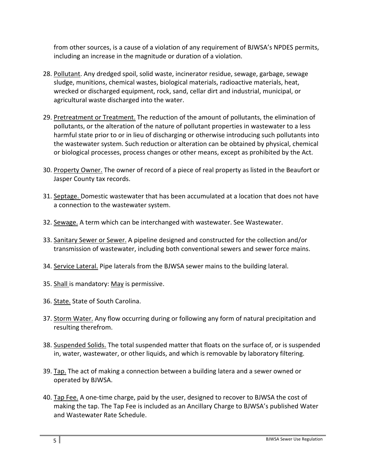from other sources, is a cause of a violation of any requirement of BJWSA's NPDES permits, including an increase in the magnitude or duration of a violation.

- 28. Pollutant. Any dredged spoil, solid waste, incinerator residue, sewage, garbage, sewage sludge, munitions, chemical wastes, biological materials, radioactive materials, heat, wrecked or discharged equipment, rock, sand, cellar dirt and industrial, municipal, or agricultural waste discharged into the water.
- 29. Pretreatment or Treatment. The reduction of the amount of pollutants, the elimination of pollutants, or the alteration of the nature of pollutant properties in wastewater to a less harmful state prior to or in lieu of discharging or otherwise introducing such pollutants into the wastewater system. Such reduction or alteration can be obtained by physical, chemical or biological processes, process changes or other means, except as prohibited by the Act.
- 30. Property Owner. The owner of record of a piece of real property as listed in the Beaufort or Jasper County tax records.
- 31. Septage. Domestic wastewater that has been accumulated at a location that does not have a connection to the wastewater system.
- 32. Sewage. A term which can be interchanged with wastewater. See Wastewater.
- 33. Sanitary Sewer or Sewer. A pipeline designed and constructed for the collection and/or transmission of wastewater, including both conventional sewers and sewer force mains.
- 34. Service Lateral. Pipe laterals from the BJWSA sewer mains to the building lateral.
- 35. Shall is mandatory: May is permissive.
- 36. State. State of South Carolina.
- 37. Storm Water. Any flow occurring during or following any form of natural precipitation and resulting therefrom.
- 38. Suspended Solids. The total suspended matter that floats on the surface of, or is suspended in, water, wastewater, or other liquids, and which is removable by laboratory filtering.
- 39. Tap. The act of making a connection between a building latera and a sewer owned or operated by BJWSA.
- 40. Tap Fee. A one-time charge, paid by the user, designed to recover to BJWSA the cost of making the tap. The Tap Fee is included as an Ancillary Charge to BJWSA's published Water and Wastewater Rate Schedule.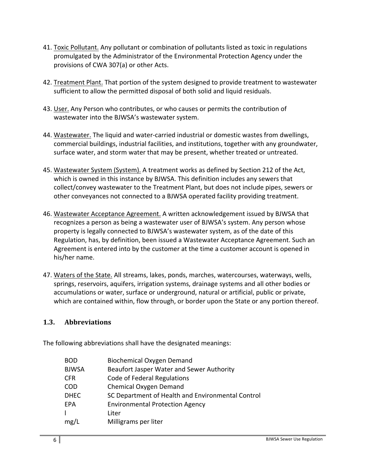- 41. Toxic Pollutant. Any pollutant or combination of pollutants listed as toxic in regulations promulgated by the Administrator of the Environmental Protection Agency under the provisions of CWA 307(a) or other Acts.
- 42. Treatment Plant. That portion of the system designed to provide treatment to wastewater sufficient to allow the permitted disposal of both solid and liquid residuals.
- 43. User. Any Person who contributes, or who causes or permits the contribution of wastewater into the BJWSA's wastewater system.
- 44. Wastewater. The liquid and water‐carried industrial or domestic wastes from dwellings, commercial buildings, industrial facilities, and institutions, together with any groundwater, surface water, and storm water that may be present, whether treated or untreated.
- 45. Wastewater System (System). A treatment works as defined by Section 212 of the Act, which is owned in this instance by BJWSA. This definition includes any sewers that collect/convey wastewater to the Treatment Plant, but does not include pipes, sewers or other conveyances not connected to a BJWSA operated facility providing treatment.
- 46. Wastewater Acceptance Agreement. A written acknowledgement issued by BJWSA that recognizes a person as being a wastewater user of BJWSA's system. Any person whose property is legally connected to BJWSA's wastewater system, as of the date of this Regulation, has, by definition, been issued a Wastewater Acceptance Agreement. Such an Agreement is entered into by the customer at the time a customer account is opened in his/her name.
- 47. Waters of the State. All streams, lakes, ponds, marches, watercourses, waterways, wells, springs, reservoirs, aquifers, irrigation systems, drainage systems and all other bodies or accumulations or water, surface or underground, natural or artificial, public or private, which are contained within, flow through, or border upon the State or any portion thereof.

#### **1.3. Abbreviations**

The following abbreviations shall have the designated meanings:

| <b>BOD</b>   | <b>Biochemical Oxygen Demand</b>                  |
|--------------|---------------------------------------------------|
| <b>BJWSA</b> | Beaufort Jasper Water and Sewer Authority         |
| <b>CFR</b>   | Code of Federal Regulations                       |
| <b>COD</b>   | Chemical Oxygen Demand                            |
| <b>DHEC</b>  | SC Department of Health and Environmental Control |
| EPA          | <b>Environmental Protection Agency</b>            |
|              | Liter                                             |
| mg/L         | Milligrams per liter                              |
|              |                                                   |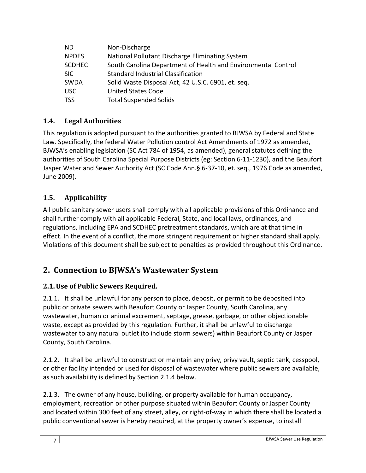| ND.           | Non-Discharge                                                 |
|---------------|---------------------------------------------------------------|
| <b>NPDES</b>  | National Pollutant Discharge Eliminating System               |
| <b>SCDHEC</b> | South Carolina Department of Health and Environmental Control |
| <b>SIC</b>    | Standard Industrial Classification                            |
| <b>SWDA</b>   | Solid Waste Disposal Act, 42 U.S.C. 6901, et. seq.            |
| <b>USC</b>    | <b>United States Code</b>                                     |
| TSS           | <b>Total Suspended Solids</b>                                 |

## **1.4. Legal Authorities**

This regulation is adopted pursuant to the authorities granted to BJWSA by Federal and State Law. Specifically, the federal Water Pollution control Act Amendments of 1972 as amended, BJWSA's enabling legislation (SC Act 784 of 1954, as amended), general statutes defining the authorities of South Carolina Special Purpose Districts (eg: Section 6‐11‐1230), and the Beaufort Jasper Water and Sewer Authority Act (SC Code Ann.§ 6‐37‐10, et. seq., 1976 Code as amended, June 2009).

## **1.5. Applicability**

All public sanitary sewer users shall comply with all applicable provisions of this Ordinance and shall further comply with all applicable Federal, State, and local laws, ordinances, and regulations, including EPA and SCDHEC pretreatment standards, which are at that time in effect. In the event of a conflict, the more stringent requirement or higher standard shall apply. Violations of this document shall be subject to penalties as provided throughout this Ordinance.

# **2. Connection to BJWSA's Wastewater System**

## **2.1.Use of Public Sewers Required.**

2.1.1. It shall be unlawful for any person to place, deposit, or permit to be deposited into public or private sewers with Beaufort County or Jasper County, South Carolina, any wastewater, human or animal excrement, septage, grease, garbage, or other objectionable waste, except as provided by this regulation. Further, it shall be unlawful to discharge wastewater to any natural outlet (to include storm sewers) within Beaufort County or Jasper County, South Carolina.

2.1.2. It shall be unlawful to construct or maintain any privy, privy vault, septic tank, cesspool, or other facility intended or used for disposal of wastewater where public sewers are available, as such availability is defined by Section 2.1.4 below.

2.1.3. The owner of any house, building, or property available for human occupancy, employment, recreation or other purpose situated within Beaufort County or Jasper County and located within 300 feet of any street, alley, or right‐of‐way in which there shall be located a public conventional sewer is hereby required, at the property owner's expense, to install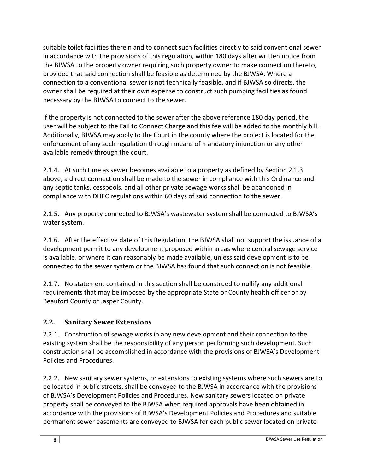suitable toilet facilities therein and to connect such facilities directly to said conventional sewer in accordance with the provisions of this regulation, within 180 days after written notice from the BJWSA to the property owner requiring such property owner to make connection thereto, provided that said connection shall be feasible as determined by the BJWSA. Where a connection to a conventional sewer is not technically feasible, and if BJWSA so directs, the owner shall be required at their own expense to construct such pumping facilities as found necessary by the BJWSA to connect to the sewer.

If the property is not connected to the sewer after the above reference 180 day period, the user will be subject to the Fail to Connect Charge and this fee will be added to the monthly bill. Additionally, BJWSA may apply to the Court in the county where the project is located for the enforcement of any such regulation through means of mandatory injunction or any other available remedy through the court.

2.1.4. At such time as sewer becomes available to a property as defined by Section 2.1.3 above, a direct connection shall be made to the sewer in compliance with this Ordinance and any septic tanks, cesspools, and all other private sewage works shall be abandoned in compliance with DHEC regulations within 60 days of said connection to the sewer.

2.1.5. Any property connected to BJWSA's wastewater system shall be connected to BJWSA's water system.

2.1.6. After the effective date of this Regulation, the BJWSA shall not support the issuance of a development permit to any development proposed within areas where central sewage service is available, or where it can reasonably be made available, unless said development is to be connected to the sewer system or the BJWSA has found that such connection is not feasible.

2.1.7. No statement contained in this section shall be construed to nullify any additional requirements that may be imposed by the appropriate State or County health officer or by Beaufort County or Jasper County.

## **2.2. Sanitary Sewer Extensions**

2.2.1. Construction of sewage works in any new development and their connection to the existing system shall be the responsibility of any person performing such development. Such construction shall be accomplished in accordance with the provisions of BJWSA's Development Policies and Procedures.

2.2.2. New sanitary sewer systems, or extensions to existing systems where such sewers are to be located in public streets, shall be conveyed to the BJWSA in accordance with the provisions of BJWSA's Development Policies and Procedures. New sanitary sewers located on private property shall be conveyed to the BJWSA when required approvals have been obtained in accordance with the provisions of BJWSA's Development Policies and Procedures and suitable permanent sewer easements are conveyed to BJWSA for each public sewer located on private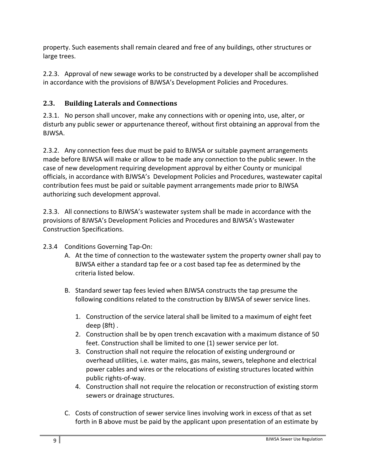property. Such easements shall remain cleared and free of any buildings, other structures or large trees.

2.2.3. Approval of new sewage works to be constructed by a developer shall be accomplished in accordance with the provisions of BJWSA's Development Policies and Procedures.

## **2.3. Building Laterals and Connections**

2.3.1. No person shall uncover, make any connections with or opening into, use, alter, or disturb any public sewer or appurtenance thereof, without first obtaining an approval from the BJWSA.

2.3.2. Any connection fees due must be paid to BJWSA or suitable payment arrangements made before BJWSA will make or allow to be made any connection to the public sewer. In the case of new development requiring development approval by either County or municipal officials, in accordance with BJWSA's Development Policies and Procedures, wastewater capital contribution fees must be paid or suitable payment arrangements made prior to BJWSA authorizing such development approval.

2.3.3. All connections to BJWSA's wastewater system shall be made in accordance with the provisions of BJWSA's Development Policies and Procedures and BJWSA's Wastewater Construction Specifications.

- 2.3.4 Conditions Governing Tap‐On:
	- A. At the time of connection to the wastewater system the property owner shall pay to BJWSA either a standard tap fee or a cost based tap fee as determined by the criteria listed below.
	- B. Standard sewer tap fees levied when BJWSA constructs the tap presume the following conditions related to the construction by BJWSA of sewer service lines.
		- 1. Construction of the service lateral shall be limited to a maximum of eight feet deep (8ft) .
		- 2. Construction shall be by open trench excavation with a maximum distance of 50 feet. Construction shall be limited to one (1) sewer service per lot.
		- 3. Construction shall not require the relocation of existing underground or overhead utilities, i.e. water mains, gas mains, sewers, telephone and electrical power cables and wires or the relocations of existing structures located within public rights‐of‐way.
		- 4. Construction shall not require the relocation or reconstruction of existing storm sewers or drainage structures.
	- C. Costs of construction of sewer service lines involving work in excess of that as set forth in B above must be paid by the applicant upon presentation of an estimate by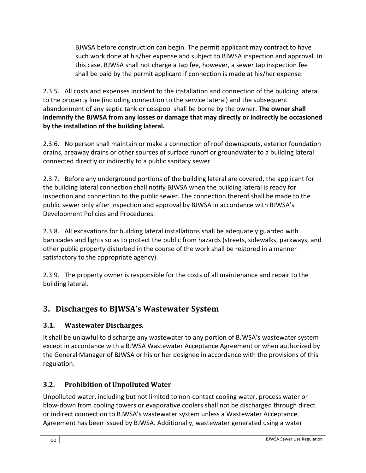BJWSA before construction can begin. The permit applicant may contract to have such work done at his/her expense and subject to BJWSA inspection and approval. In this case, BJWSA shall not charge a tap fee, however, a sewer tap inspection fee shall be paid by the permit applicant if connection is made at his/her expense.

2.3.5. All costs and expenses incident to the installation and connection of the building lateral to the property line (including connection to the service lateral) and the subsequent abandonment of any septic tank or cesspool shall be borne by the owner. **The owner shall indemnify the BJWSA from any losses or damage that may directly or indirectly be occasioned by the installation of the building lateral.**

2.3.6. No person shall maintain or make a connection of roof downspouts, exterior foundation drains, areaway drains or other sources of surface runoff or groundwater to a building lateral connected directly or indirectly to a public sanitary sewer.

2.3.7. Before any underground portions of the building lateral are covered, the applicant for the building lateral connection shall notify BJWSA when the building lateral is ready for inspection and connection to the public sewer. The connection thereof shall be made to the public sewer only after inspection and approval by BJWSA in accordance with BJWSA's Development Policies and Procedures.

2.3.8. All excavations for building lateral installations shall be adequately guarded with barricades and lights so as to protect the public from hazards (streets, sidewalks, parkways, and other public property disturbed in the course of the work shall be restored in a manner satisfactory to the appropriate agency).

2.3.9. The property owner is responsible for the costs of all maintenance and repair to the building lateral.

# **3. Discharges to BJWSA's Wastewater System**

## **3.1. Wastewater Discharges.**

It shall be unlawful to discharge any wastewater to any portion of BJWSA's wastewater system except in accordance with a BJWSA Wastewater Acceptance Agreement or when authorized by the General Manager of BJWSA or his or her designee in accordance with the provisions of this regulation.

# **3.2. Prohibition of Unpolluted Water**

Unpolluted water, including but not limited to non‐contact cooling water, process water or blow‐down from cooling towers or evaporative coolers shall not be discharged through direct or indirect connection to BJWSA's wastewater system unless a Wastewater Acceptance Agreement has been issued by BJWSA. Additionally, wastewater generated using a water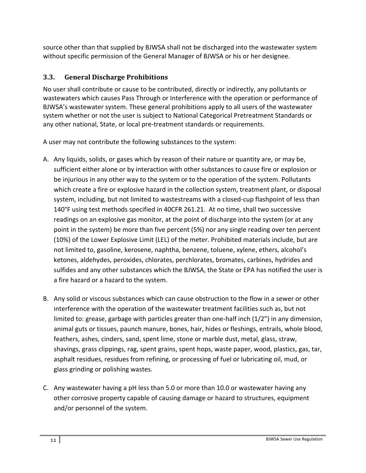source other than that supplied by BJWSA shall not be discharged into the wastewater system without specific permission of the General Manager of BJWSA or his or her designee.

#### **3.3. General Discharge Prohibitions**

No user shall contribute or cause to be contributed, directly or indirectly, any pollutants or wastewaters which causes Pass Through or Interference with the operation or performance of BJWSA's wastewater system. These general prohibitions apply to all users of the wastewater system whether or not the user is subject to National Categorical Pretreatment Standards or any other national, State, or local pre‐treatment standards or requirements.

A user may not contribute the following substances to the system:

- A. Any liquids, solids, or gases which by reason of their nature or quantity are, or may be, sufficient either alone or by interaction with other substances to cause fire or explosion or be injurious in any other way to the system or to the operation of the system. Pollutants which create a fire or explosive hazard in the collection system, treatment plant, or disposal system, including, but not limited to wastestreams with a closed-cup flashpoint of less than 140°F using test methods specified in 40CFR 261.21. At no time, shall two successive readings on an explosive gas monitor, at the point of discharge into the system (or at any point in the system) be more than five percent (5%) nor any single reading over ten percent (10%) of the Lower Explosive Limit (LEL) of the meter. Prohibited materials include, but are not limited to, gasoline, kerosene, naphtha, benzene, toluene, xylene, ethers, alcohol's ketones, aldehydes, peroxides, chlorates, perchlorates, bromates, carbines, hydrides and sulfides and any other substances which the BJWSA, the State or EPA has notified the user is a fire hazard or a hazard to the system.
- B. Any solid or viscous substances which can cause obstruction to the flow in a sewer or other interference with the operation of the wastewater treatment facilities such as, but not limited to: grease, garbage with particles greater than one‐half inch (1/2") in any dimension, animal guts or tissues, paunch manure, bones, hair, hides or fleshings, entrails, whole blood, feathers, ashes, cinders, sand, spent lime, stone or marble dust, metal, glass, straw, shavings, grass clippings, rag, spent grains, spent hops, waste paper, wood, plastics, gas, tar, asphalt residues, residues from refining, or processing of fuel or lubricating oil, mud, or glass grinding or polishing wastes.
- C. Any wastewater having a pH less than 5.0 or more than 10.0 or wastewater having any other corrosive property capable of causing damage or hazard to structures, equipment and/or personnel of the system.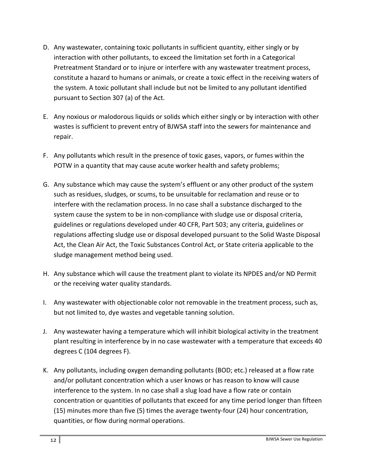- D. Any wastewater, containing toxic pollutants in sufficient quantity, either singly or by interaction with other pollutants, to exceed the limitation set forth in a Categorical Pretreatment Standard or to injure or interfere with any wastewater treatment process, constitute a hazard to humans or animals, or create a toxic effect in the receiving waters of the system. A toxic pollutant shall include but not be limited to any pollutant identified pursuant to Section 307 (a) of the Act.
- E. Any noxious or malodorous liquids or solids which either singly or by interaction with other wastes is sufficient to prevent entry of BJWSA staff into the sewers for maintenance and repair.
- F. Any pollutants which result in the presence of toxic gases, vapors, or fumes within the POTW in a quantity that may cause acute worker health and safety problems;
- G. Any substance which may cause the system's effluent or any other product of the system such as residues, sludges, or scums, to be unsuitable for reclamation and reuse or to interfere with the reclamation process. In no case shall a substance discharged to the system cause the system to be in non‐compliance with sludge use or disposal criteria, guidelines or regulations developed under 40 CFR, Part 503; any criteria, guidelines or regulations affecting sludge use or disposal developed pursuant to the Solid Waste Disposal Act, the Clean Air Act, the Toxic Substances Control Act, or State criteria applicable to the sludge management method being used.
- H. Any substance which will cause the treatment plant to violate its NPDES and/or ND Permit or the receiving water quality standards.
- I. Any wastewater with objectionable color not removable in the treatment process, such as, but not limited to, dye wastes and vegetable tanning solution.
- J. Any wastewater having a temperature which will inhibit biological activity in the treatment plant resulting in interference by in no case wastewater with a temperature that exceeds 40 degrees C (104 degrees F).
- K. Any pollutants, including oxygen demanding pollutants (BOD; etc.) released at a flow rate and/or pollutant concentration which a user knows or has reason to know will cause interference to the system. In no case shall a slug load have a flow rate or contain concentration or quantities of pollutants that exceed for any time period longer than fifteen (15) minutes more than five (5) times the average twenty‐four (24) hour concentration, quantities, or flow during normal operations.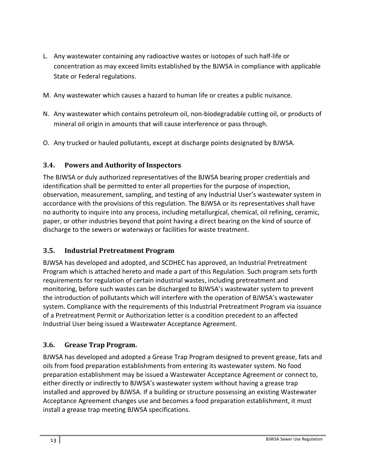- L. Any wastewater containing any radioactive wastes or isotopes of such half‐life or concentration as may exceed limits established by the BJWSA in compliance with applicable State or Federal regulations.
- M. Any wastewater which causes a hazard to human life or creates a public nuisance.
- N. Any wastewater which contains petroleum oil, non‐biodegradable cutting oil, or products of mineral oil origin in amounts that will cause interference or pass through.
- O. Any trucked or hauled pollutants, except at discharge points designated by BJWSA.

#### **3.4. Powers and Authority of Inspectors**

The BJWSA or duly authorized representatives of the BJWSA bearing proper credentials and identification shall be permitted to enter all properties for the purpose of inspection, observation, measurement, sampling, and testing of any Industrial User's wastewater system in accordance with the provisions of this regulation. The BJWSA or its representatives shall have no authority to inquire into any process, including metallurgical, chemical, oil refining, ceramic, paper, or other industries beyond that point having a direct bearing on the kind of source of discharge to the sewers or waterways or facilities for waste treatment.

#### **3.5. Industrial Pretreatment Program**

BJWSA has developed and adopted, and SCDHEC has approved, an Industrial Pretreatment Program which is attached hereto and made a part of this Regulation. Such program sets forth requirements for regulation of certain industrial wastes, including pretreatment and monitoring, before such wastes can be discharged to BJWSA's wastewater system to prevent the introduction of pollutants which will interfere with the operation of BJWSA's wastewater system. Compliance with the requirements of this Industrial Pretreatment Program via issuance of a Pretreatment Permit or Authorization letter is a condition precedent to an affected Industrial User being issued a Wastewater Acceptance Agreement.

#### **3.6. Grease Trap Program.**

BJWSA has developed and adopted a Grease Trap Program designed to prevent grease, fats and oils from food preparation establishments from entering its wastewater system. No food preparation establishment may be issued a Wastewater Acceptance Agreement or connect to, either directly or indirectly to BJWSA's wastewater system without having a grease trap installed and approved by BJWSA. If a building or structure possessing an existing Wastewater Acceptance Agreement changes use and becomes a food preparation establishment, it must install a grease trap meeting BJWSA specifications.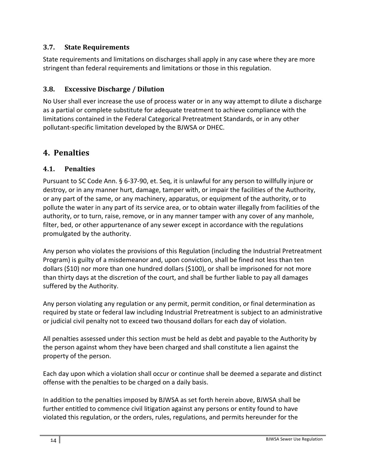#### **3.7. State Requirements**

State requirements and limitations on discharges shall apply in any case where they are more stringent than federal requirements and limitations or those in this regulation.

#### **3.8. Excessive Discharge / Dilution**

No User shall ever increase the use of process water or in any way attempt to dilute a discharge as a partial or complete substitute for adequate treatment to achieve compliance with the limitations contained in the Federal Categorical Pretreatment Standards, or in any other pollutant‐specific limitation developed by the BJWSA or DHEC.

# **4. Penalties**

## **4.1. Penalties**

Pursuant to SC Code Ann. § 6‐37‐90, et. Seq, it is unlawful for any person to willfully injure or destroy, or in any manner hurt, damage, tamper with, or impair the facilities of the Authority, or any part of the same, or any machinery, apparatus, or equipment of the authority, or to pollute the water in any part of its service area, or to obtain water illegally from facilities of the authority, or to turn, raise, remove, or in any manner tamper with any cover of any manhole, filter, bed, or other appurtenance of any sewer except in accordance with the regulations promulgated by the authority.

Any person who violates the provisions of this Regulation (including the Industrial Pretreatment Program) is guilty of a misdemeanor and, upon conviction, shall be fined not less than ten dollars (\$10) nor more than one hundred dollars (\$100), or shall be imprisoned for not more than thirty days at the discretion of the court, and shall be further liable to pay all damages suffered by the Authority.

Any person violating any regulation or any permit, permit condition, or final determination as required by state or federal law including Industrial Pretreatment is subject to an administrative or judicial civil penalty not to exceed two thousand dollars for each day of violation.

All penalties assessed under this section must be held as debt and payable to the Authority by the person against whom they have been charged and shall constitute a lien against the property of the person.

Each day upon which a violation shall occur or continue shall be deemed a separate and distinct offense with the penalties to be charged on a daily basis.

In addition to the penalties imposed by BJWSA as set forth herein above, BJWSA shall be further entitled to commence civil litigation against any persons or entity found to have violated this regulation, or the orders, rules, regulations, and permits hereunder for the